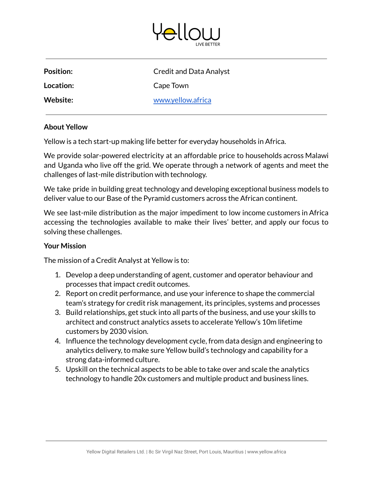

| <b>Position:</b> | <b>Credit and Data Analyst</b> |
|------------------|--------------------------------|
| Location:        | Cape Town                      |
| Website:         | www.yellow.africa              |
|                  |                                |

## **About Yellow**

Yellow is a tech start-up making life better for everyday households in Africa.

We provide solar-powered electricity at an affordable price to households across Malawi and Uganda who live off the grid. We operate through a network of agents and meet the challenges of last-mile distribution with technology.

We take pride in building great technology and developing exceptional business models to deliver value to our Base of the Pyramid customers across the African continent.

We see last-mile distribution as the major impediment to low income customers in Africa accessing the technologies available to make their lives' better, and apply our focus to solving these challenges.

## **Your Mission**

The mission of a Credit Analyst at Yellow is to:

- 1. Develop a deep understanding of agent, customer and operator behaviour and processes that impact credit outcomes.
- 2. Report on credit performance, and use your inference to shape the commercial team's strategy for credit risk management, its principles, systems and processes
- 3. Build relationships, get stuck into all parts of the business, and use your skills to architect and construct analytics assets to accelerate Yellow's 10m lifetime customers by 2030 vision.
- 4. Influence the technology development cycle, from data design and engineering to analytics delivery, to make sure Yellow build's technology and capability for a strong data-informed culture.
- 5. Upskill on the technical aspects to be able to take over and scale the analytics technology to handle 20x customers and multiple product and business lines.